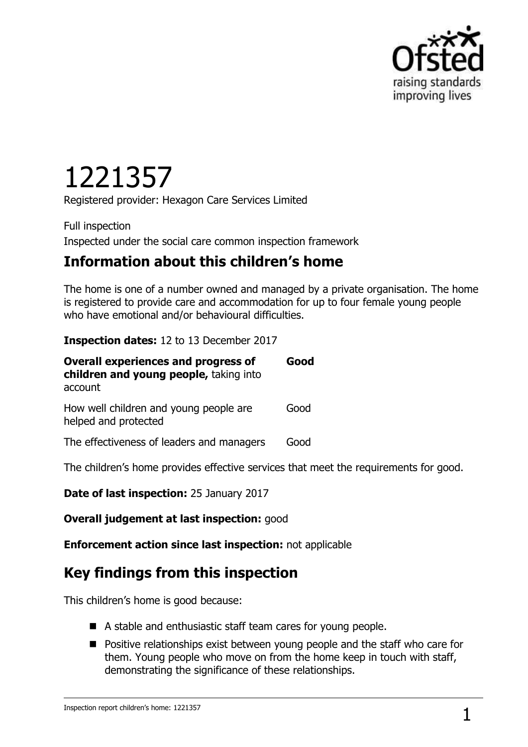

# 1221357

Registered provider: Hexagon Care Services Limited

Full inspection Inspected under the social care common inspection framework

## **Information about this children's home**

The home is one of a number owned and managed by a private organisation. The home is registered to provide care and accommodation for up to four female young people who have emotional and/or behavioural difficulties.

#### **Inspection dates:** 12 to 13 December 2017

| <b>Overall experiences and progress of</b><br>children and young people, taking into<br>account | Good |
|-------------------------------------------------------------------------------------------------|------|
| How well children and young people are<br>helped and protected                                  | Good |
| The effectiveness of leaders and managers                                                       | Good |

The children's home provides effective services that meet the requirements for good.

**Date of last inspection:** 25 January 2017

**Overall judgement at last inspection:** good

**Enforcement action since last inspection:** not applicable

# **Key findings from this inspection**

This children's home is good because:

- A stable and enthusiastic staff team cares for young people.
- **Positive relationships exist between young people and the staff who care for** them. Young people who move on from the home keep in touch with staff, demonstrating the significance of these relationships.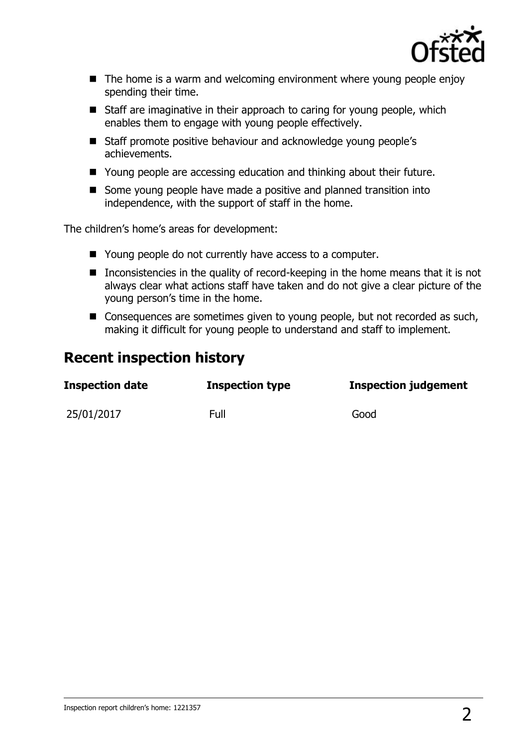

- $\blacksquare$  The home is a warm and welcoming environment where young people enjoy spending their time.
- Staff are imaginative in their approach to caring for young people, which enables them to engage with young people effectively.
- Staff promote positive behaviour and acknowledge young people's achievements.
- Young people are accessing education and thinking about their future.
- Some young people have made a positive and planned transition into independence, with the support of staff in the home.

The children's home's areas for development:

- Young people do not currently have access to a computer.
- Inconsistencies in the quality of record-keeping in the home means that it is not always clear what actions staff have taken and do not give a clear picture of the young person's time in the home.
- Consequences are sometimes given to young people, but not recorded as such, making it difficult for young people to understand and staff to implement.

### **Recent inspection history**

| Inspection date | <b>Inspection type</b> | <b>Inspection judgement</b> |
|-----------------|------------------------|-----------------------------|
| 25/01/2017      | Full                   | Good                        |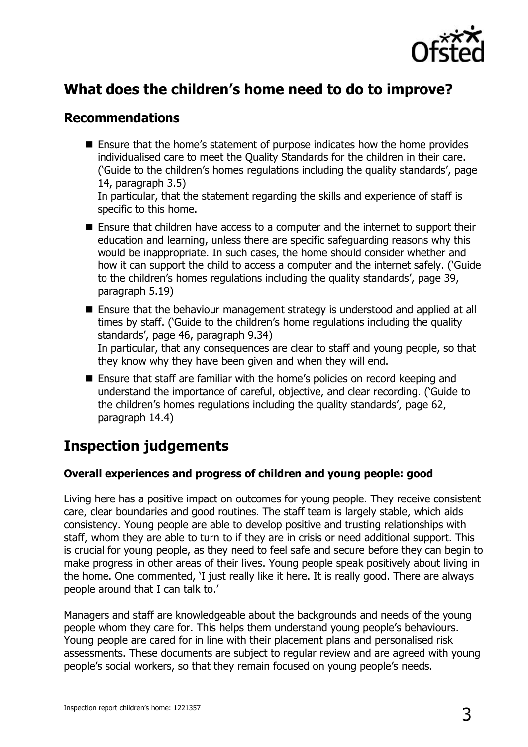

## **What does the children's home need to do to improve?**

#### **Recommendations**

- Ensure that the home's statement of purpose indicates how the home provides individualised care to meet the Quality Standards for the children in their care. ('Guide to the children's homes regulations including the quality standards', page 14, paragraph 3.5) In particular, that the statement regarding the skills and experience of staff is specific to this home.
- Ensure that children have access to a computer and the internet to support their education and learning, unless there are specific safeguarding reasons why this would be inappropriate. In such cases, the home should consider whether and how it can support the child to access a computer and the internet safely. ('Guide to the children's homes regulations including the quality standards', page 39, paragraph 5.19)
- Ensure that the behaviour management strategy is understood and applied at all times by staff. ('Guide to the children's home regulations including the quality standards', page 46, paragraph 9.34) In particular, that any consequences are clear to staff and young people, so that they know why they have been given and when they will end.
- Ensure that staff are familiar with the home's policies on record keeping and understand the importance of careful, objective, and clear recording. ('Guide to the children's homes regulations including the quality standards', page 62, paragraph 14.4)

# **Inspection judgements**

#### **Overall experiences and progress of children and young people: good**

Living here has a positive impact on outcomes for young people. They receive consistent care, clear boundaries and good routines. The staff team is largely stable, which aids consistency. Young people are able to develop positive and trusting relationships with staff, whom they are able to turn to if they are in crisis or need additional support. This is crucial for young people, as they need to feel safe and secure before they can begin to make progress in other areas of their lives. Young people speak positively about living in the home. One commented, 'I just really like it here. It is really good. There are always people around that I can talk to.'

Managers and staff are knowledgeable about the backgrounds and needs of the young people whom they care for. This helps them understand young people's behaviours. Young people are cared for in line with their placement plans and personalised risk assessments. These documents are subject to regular review and are agreed with young people's social workers, so that they remain focused on young people's needs.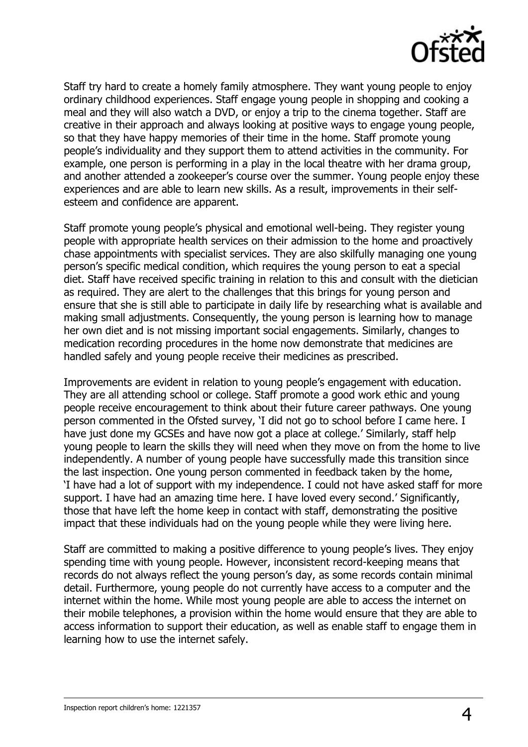

Staff try hard to create a homely family atmosphere. They want young people to enjoy ordinary childhood experiences. Staff engage young people in shopping and cooking a meal and they will also watch a DVD, or enjoy a trip to the cinema together. Staff are creative in their approach and always looking at positive ways to engage young people, so that they have happy memories of their time in the home. Staff promote young people's individuality and they support them to attend activities in the community. For example, one person is performing in a play in the local theatre with her drama group, and another attended a zookeeper's course over the summer. Young people enjoy these experiences and are able to learn new skills. As a result, improvements in their selfesteem and confidence are apparent.

Staff promote young people's physical and emotional well-being. They register young people with appropriate health services on their admission to the home and proactively chase appointments with specialist services. They are also skilfully managing one young person's specific medical condition, which requires the young person to eat a special diet. Staff have received specific training in relation to this and consult with the dietician as required. They are alert to the challenges that this brings for young person and ensure that she is still able to participate in daily life by researching what is available and making small adjustments. Consequently, the young person is learning how to manage her own diet and is not missing important social engagements. Similarly, changes to medication recording procedures in the home now demonstrate that medicines are handled safely and young people receive their medicines as prescribed.

Improvements are evident in relation to young people's engagement with education. They are all attending school or college. Staff promote a good work ethic and young people receive encouragement to think about their future career pathways. One young person commented in the Ofsted survey, 'I did not go to school before I came here. I have just done my GCSEs and have now got a place at college.' Similarly, staff help young people to learn the skills they will need when they move on from the home to live independently. A number of young people have successfully made this transition since the last inspection. One young person commented in feedback taken by the home, 'I have had a lot of support with my independence. I could not have asked staff for more support. I have had an amazing time here. I have loved every second.' Significantly, those that have left the home keep in contact with staff, demonstrating the positive impact that these individuals had on the young people while they were living here.

Staff are committed to making a positive difference to young people's lives. They enjoy spending time with young people. However, inconsistent record-keeping means that records do not always reflect the young person's day, as some records contain minimal detail. Furthermore, young people do not currently have access to a computer and the internet within the home. While most young people are able to access the internet on their mobile telephones, a provision within the home would ensure that they are able to access information to support their education, as well as enable staff to engage them in learning how to use the internet safely.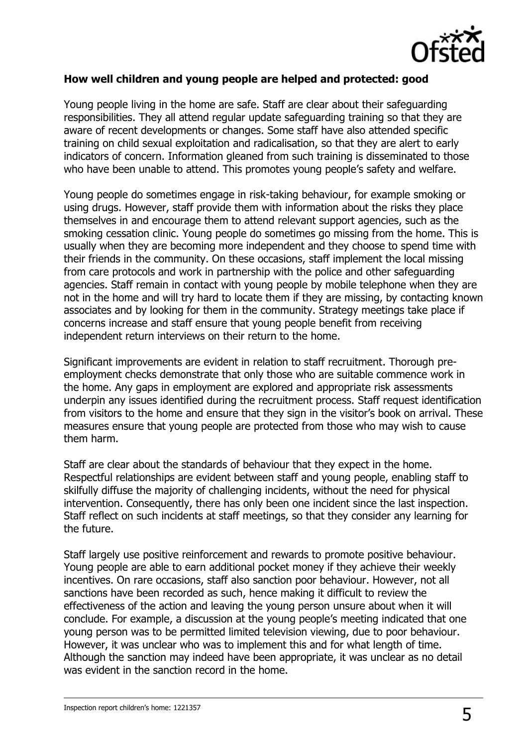

#### **How well children and young people are helped and protected: good**

Young people living in the home are safe. Staff are clear about their safeguarding responsibilities. They all attend regular update safeguarding training so that they are aware of recent developments or changes. Some staff have also attended specific training on child sexual exploitation and radicalisation, so that they are alert to early indicators of concern. Information gleaned from such training is disseminated to those who have been unable to attend. This promotes young people's safety and welfare.

Young people do sometimes engage in risk-taking behaviour, for example smoking or using drugs. However, staff provide them with information about the risks they place themselves in and encourage them to attend relevant support agencies, such as the smoking cessation clinic. Young people do sometimes go missing from the home. This is usually when they are becoming more independent and they choose to spend time with their friends in the community. On these occasions, staff implement the local missing from care protocols and work in partnership with the police and other safeguarding agencies. Staff remain in contact with young people by mobile telephone when they are not in the home and will try hard to locate them if they are missing, by contacting known associates and by looking for them in the community. Strategy meetings take place if concerns increase and staff ensure that young people benefit from receiving independent return interviews on their return to the home.

Significant improvements are evident in relation to staff recruitment. Thorough preemployment checks demonstrate that only those who are suitable commence work in the home. Any gaps in employment are explored and appropriate risk assessments underpin any issues identified during the recruitment process. Staff request identification from visitors to the home and ensure that they sign in the visitor's book on arrival. These measures ensure that young people are protected from those who may wish to cause them harm.

Staff are clear about the standards of behaviour that they expect in the home. Respectful relationships are evident between staff and young people, enabling staff to skilfully diffuse the majority of challenging incidents, without the need for physical intervention. Consequently, there has only been one incident since the last inspection. Staff reflect on such incidents at staff meetings, so that they consider any learning for the future.

Staff largely use positive reinforcement and rewards to promote positive behaviour. Young people are able to earn additional pocket money if they achieve their weekly incentives. On rare occasions, staff also sanction poor behaviour. However, not all sanctions have been recorded as such, hence making it difficult to review the effectiveness of the action and leaving the young person unsure about when it will conclude. For example, a discussion at the young people's meeting indicated that one young person was to be permitted limited television viewing, due to poor behaviour. However, it was unclear who was to implement this and for what length of time. Although the sanction may indeed have been appropriate, it was unclear as no detail was evident in the sanction record in the home.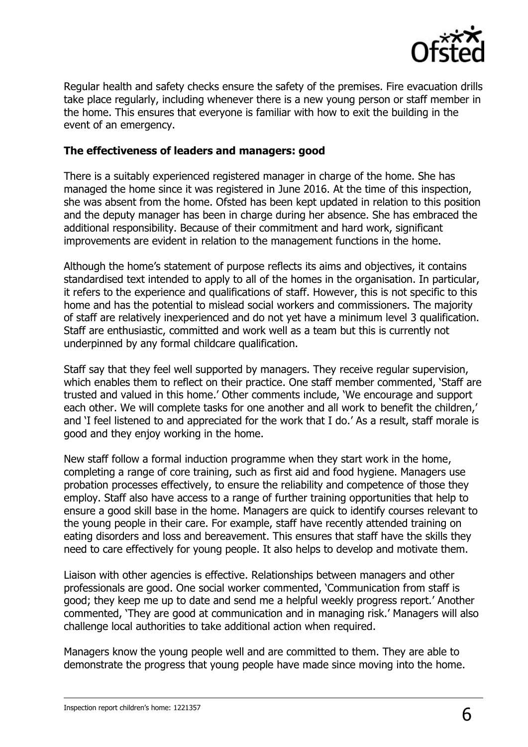

Regular health and safety checks ensure the safety of the premises. Fire evacuation drills take place regularly, including whenever there is a new young person or staff member in the home. This ensures that everyone is familiar with how to exit the building in the event of an emergency.

#### **The effectiveness of leaders and managers: good**

There is a suitably experienced registered manager in charge of the home. She has managed the home since it was registered in June 2016. At the time of this inspection, she was absent from the home. Ofsted has been kept updated in relation to this position and the deputy manager has been in charge during her absence. She has embraced the additional responsibility. Because of their commitment and hard work, significant improvements are evident in relation to the management functions in the home.

Although the home's statement of purpose reflects its aims and objectives, it contains standardised text intended to apply to all of the homes in the organisation. In particular, it refers to the experience and qualifications of staff. However, this is not specific to this home and has the potential to mislead social workers and commissioners. The majority of staff are relatively inexperienced and do not yet have a minimum level 3 qualification. Staff are enthusiastic, committed and work well as a team but this is currently not underpinned by any formal childcare qualification.

Staff say that they feel well supported by managers. They receive regular supervision, which enables them to reflect on their practice. One staff member commented, 'Staff are trusted and valued in this home.' Other comments include, 'We encourage and support each other. We will complete tasks for one another and all work to benefit the children,' and 'I feel listened to and appreciated for the work that I do.' As a result, staff morale is good and they enjoy working in the home.

New staff follow a formal induction programme when they start work in the home, completing a range of core training, such as first aid and food hygiene. Managers use probation processes effectively, to ensure the reliability and competence of those they employ. Staff also have access to a range of further training opportunities that help to ensure a good skill base in the home. Managers are quick to identify courses relevant to the young people in their care. For example, staff have recently attended training on eating disorders and loss and bereavement. This ensures that staff have the skills they need to care effectively for young people. It also helps to develop and motivate them.

Liaison with other agencies is effective. Relationships between managers and other professionals are good. One social worker commented, 'Communication from staff is good; they keep me up to date and send me a helpful weekly progress report.' Another commented, 'They are good at communication and in managing risk.' Managers will also challenge local authorities to take additional action when required.

Managers know the young people well and are committed to them. They are able to demonstrate the progress that young people have made since moving into the home.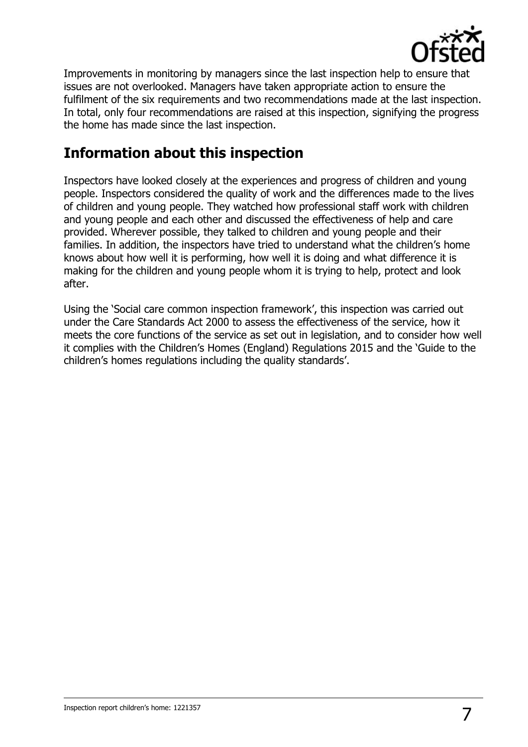

Improvements in monitoring by managers since the last inspection help to ensure that issues are not overlooked. Managers have taken appropriate action to ensure the fulfilment of the six requirements and two recommendations made at the last inspection. In total, only four recommendations are raised at this inspection, signifying the progress the home has made since the last inspection.

## **Information about this inspection**

Inspectors have looked closely at the experiences and progress of children and young people. Inspectors considered the quality of work and the differences made to the lives of children and young people. They watched how professional staff work with children and young people and each other and discussed the effectiveness of help and care provided. Wherever possible, they talked to children and young people and their families. In addition, the inspectors have tried to understand what the children's home knows about how well it is performing, how well it is doing and what difference it is making for the children and young people whom it is trying to help, protect and look after.

Using the 'Social care common inspection framework', this inspection was carried out under the Care Standards Act 2000 to assess the effectiveness of the service, how it meets the core functions of the service as set out in legislation, and to consider how well it complies with the Children's Homes (England) Regulations 2015 and the 'Guide to the children's homes regulations including the quality standards'.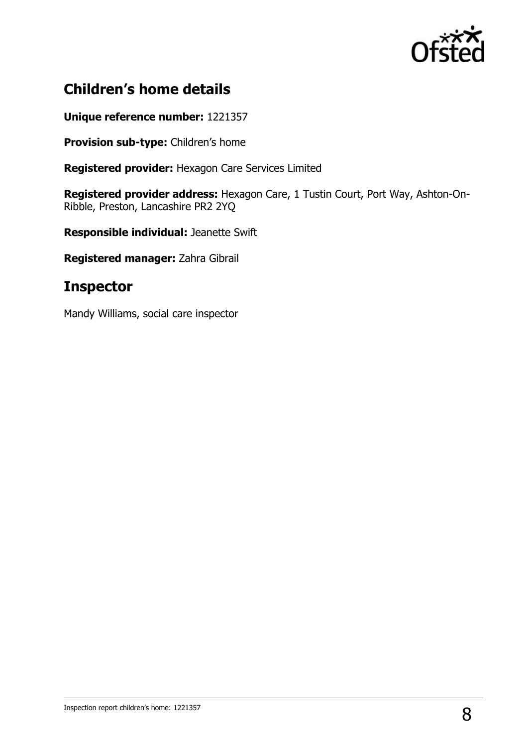

## **Children's home details**

**Unique reference number:** 1221357

**Provision sub-type:** Children's home

**Registered provider:** Hexagon Care Services Limited

**Registered provider address:** Hexagon Care, 1 Tustin Court, Port Way, Ashton-On-Ribble, Preston, Lancashire PR2 2YQ

**Responsible individual:** Jeanette Swift

**Registered manager:** Zahra Gibrail

## **Inspector**

Mandy Williams, social care inspector